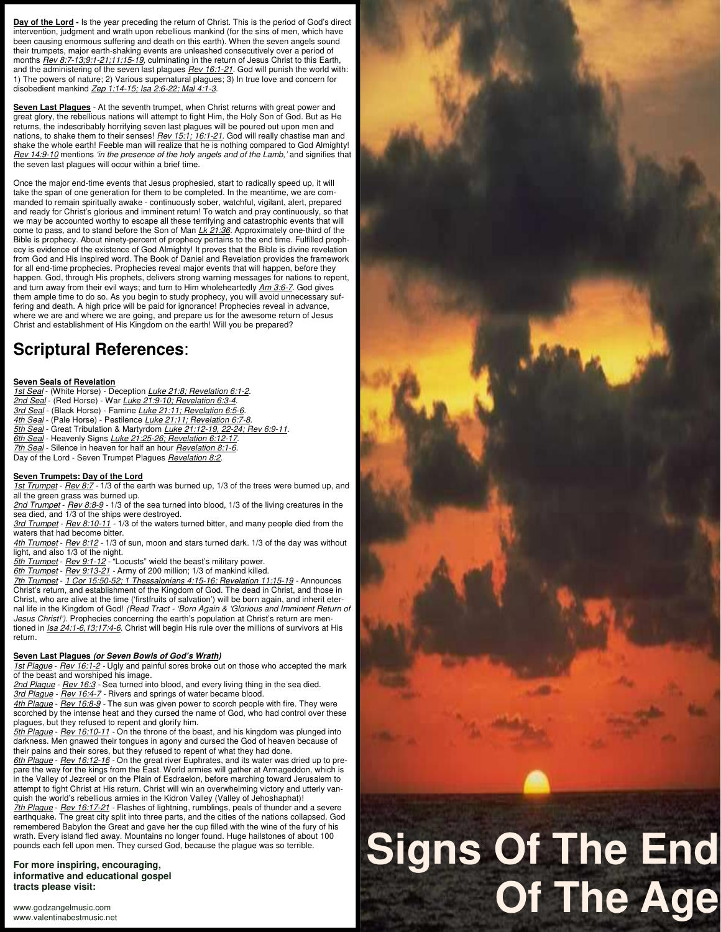Day of the Lord - Is the year preceding the return of Christ. This is the period of God's direct intervention, judgment and wrath upon rebellious mankind (for the sins of men, which have been causing enormous suffering and death on this earth). When the seven angels sound their trumpets, major earth-shaking events are unleashed consecutively over a period of months *Rev 8:7-13;9:1-21;11:15-19,* culminating in the return of Jesus Christ to this Earth, and the administering of the seven last plagues *Rev 16:1-21.* God will punish the world with: 1) The powers of nature; 2) Various supernatural plagues; 3) In true love and concern for disobedient mankind *Zep 1:14-15; Isa 2:6-22; Mal 4:1-3.* 

**Seven Last Plagues** - At the seventh trumpet, when Christ returns with great power and great glory, the rebellious nations will attempt to fight Him, the Holy Son of God. But as He returns, the indescribably horrifying seven last plagues will be poured out upon men and nations, to shake them to their senses! *Rev 15:1; 16:1-21.* God will really chastise man and shake the whole earth! Feeble man will realize that he is nothing compared to God Almighty! *Rev 14:9-10* mentions *'in the presence of the holy angels and of the Lamb,'* and signifies that the seven last plagues will occur within a brief time.

Once the major end-time events that Jesus prophesied, start to radically speed up, it will take the span of one generation for them to be completed. In the meantime, we are commanded to remain spiritually awake - continuously sober, watchful, vigilant, alert, prepared and ready for Christ's glorious and imminent return! To watch and pray continuously, so that we may be accounted worthy to escape all these terrifying and catastrophic events that will come to pass, and to stand before the Son of Man *Lk 21:36.* Approximately one-third of the Bible is prophecy. About ninety-percent of prophecy pertains to the end time. Fulfilled prophecy is evidence of the existence of God Almighty! It proves that the Bible is divine revelation from God and His inspired word. The Book of Daniel and Revelation provides the framework for all end-time prophecies. Prophecies reveal major events that will happen, before they happen. God, through His prophets, delivers strong warning messages for nations to repent, and turn away from their evil ways; and turn to Him wholeheartedly *Am 3:6-7.* God gives them ample time to do so. As you begin to study prophecy, you will avoid unnecessary suffering and death. A high price will be paid for ignorance! Prophecies reveal in advance, where we are and where we are going, and prepare us for the awesome return of Jesus Christ and establishment of His Kingdom on the earth! Will you be prepared?

# **Scriptural References**:

#### **Seven Seals of Revelation**

*1st Seal* - (White Horse) - Deception *Luke 21:8; Revelation 6:1-2.*

- *2nd Seal* (Red Horse) War *Luke 21:9-10; Revelation 6:3-4.*
- *3rd Seal* (Black Horse) Famine *Luke 21:11; Revelation 6:5-6.*
- *4th Seal* (Pale Horse) Pestilence *Luke 21:11; Revelation 6:7-8.*
- *5th Seal* Great Tribulation & Martyrdom *Luke 21:12-19, 22-24; Rev 6:9-11.*
- *6th Seal* Heavenly Signs *Luke 21:25-26; Revelation 6:12-17.*
- *7th Seal* Silence in heaven for half an hour *Revelation 8:1-6.*
- Day of the Lord Seven Trumpet Plagues *Revelation 8:2.*

## **Seven Trumpets: Day of the Lord**

*1st Trumpet* - *Rev 8:7 -* 1/3 of the earth was burned up, 1/3 of the trees were burned up, and all the green grass was burned up.

*2nd Trumpet* - *Rev 8:8-9 -* 1/3 of the sea turned into blood, 1/3 of the living creatures in the sea died, and 1/3 of the ships were destroyed.

*3rd Trumpet* - *Rev 8:10-11 -* 1/3 of the waters turned bitter, and many people died from the waters that had become bitter.

*4th Trumpet* - *Rev 8:12 -* 1/3 of sun, moon and stars turned dark. 1/3 of the day was without light, and also 1/3 of the night.

*5th Trumpet* - *Rev 9:1-12 -* "Locusts" wield the beast's military power.

*6th Trumpet* - *Rev 9:13-21 -* Army of 200 million; 1/3 of mankind killed.

*7th Trumpet* - *1 Cor 15:50-52; 1 Thessalonians 4:15-16; Revelation 11:15-19 -* Announces Christ's return, and establishment of the Kingdom of God. The dead in Christ, and those in Christ, who are alive at the time ('firstfruits of salvation') will be born again, and inherit eternal life in the Kingdom of God! *(Read Tract - 'Born Again & 'Glorious and Imminent Return of Jesus Christ!').* Prophecies concerning the earth's population at Christ's return are mentioned in *Isa 24:1-6,13;17:4-6*. Christ will begin His rule over the millions of survivors at His return.

# **Seven Last Plagues (or Seven Bowls of God's Wrath)**

*1st Plague* - *Rev 16:1-2 -* Ugly and painful sores broke out on those who accepted the mark of the beast and worshiped his image.

*2nd Plague* - *Rev 16:3 -* Sea turned into blood, and every living thing in the sea died.

*3rd Plague* - *Rev 16:4-7 -* Rivers and springs of water became blood.

*4th Plague* - *Rev 16:8-9 -* The sun was given power to scorch people with fire. They were scorched by the intense heat and they cursed the name of God, who had control over these plagues, but they refused to repent and glorify him.

*5th Plague* - *Rev 16:10-11 -* On the throne of the beast, and his kingdom was plunged into darkness. Men gnawed their tongues in agony and cursed the God of heaven because of their pains and their sores, but they refused to repent of what they had done.

*6th Plague* - *Rev 16:12-16 -* On the great river Euphrates, and its water was dried up to prepare the way for the kings from the East. World armies will gather at Armageddon, which is in the Valley of Jezreel or on the Plain of Esdraelon, before marching toward Jerusalem to attempt to fight Christ at His return. Christ will win an overwhelming victory and utterly vanquish the world's rebellious armies in the Kidron Valley (Valley of Jehoshaphat)!

*7th Plague* - *Rev 16:17-21 -* Flashes of lightning, rumblings, peals of thunder and a severe earthquake. The great city split into three parts, and the cities of the nations collapsed. God remembered Babylon the Great and gave her the cup filled with the wine of the fury of his wrath. Every island fled away. Mountains no longer found. Huge hailstones of about 100 pounds each fell upon men. They cursed God, because the plague was so terrible.

**For more inspiring, encouraging, informative and educational gospel tracts please visit:** 

# **Signs Of The End Of The Age**

www.godzangelmusic.com www.valentinabestmusic.net